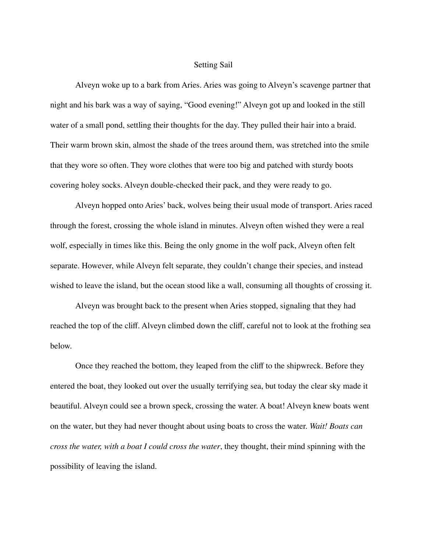## Setting Sail

Alveyn woke up to a bark from Aries. Aries was going to Alveyn's scavenge partner that night and his bark was a way of saying, "Good evening!" Alveyn got up and looked in the still water of a small pond, settling their thoughts for the day. They pulled their hair into a braid. Their warm brown skin, almost the shade of the trees around them, was stretched into the smile that they wore so often. They wore clothes that were too big and patched with sturdy boots covering holey socks. Alveyn double-checked their pack, and they were ready to go.

Alveyn hopped onto Aries' back, wolves being their usual mode of transport. Aries raced through the forest, crossing the whole island in minutes. Alveyn often wished they were a real wolf, especially in times like this. Being the only gnome in the wolf pack, Alveyn often felt separate. However, while Alveyn felt separate, they couldn't change their species, and instead wished to leave the island, but the ocean stood like a wall, consuming all thoughts of crossing it.

Alveyn was brought back to the present when Aries stopped, signaling that they had reached the top of the cliff. Alveyn climbed down the cliff, careful not to look at the frothing sea below.

Once they reached the bottom, they leaped from the cliff to the shipwreck. Before they entered the boat, they looked out over the usually terrifying sea, but today the clear sky made it beautiful. Alveyn could see a brown speck, crossing the water. A boat! Alveyn knew boats went on the water, but they had never thought about using boats to cross the water. *Wait! Boats can cross the water, with a boat I could cross the water*, they thought, their mind spinning with the possibility of leaving the island.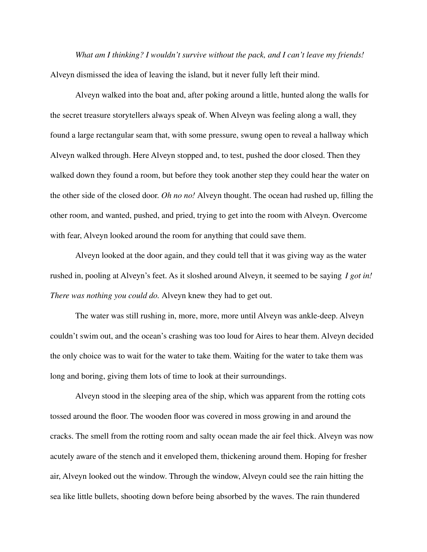*What am I thinking? I wouldn't survive without the pack, and I can't leave my friends!* Alveyn dismissed the idea of leaving the island, but it never fully left their mind.

Alveyn walked into the boat and, after poking around a little, hunted along the walls for the secret treasure storytellers always speak of. When Alveyn was feeling along a wall, they found a large rectangular seam that, with some pressure, swung open to reveal a hallway which Alveyn walked through. Here Alveyn stopped and, to test, pushed the door closed. Then they walked down they found a room, but before they took another step they could hear the water on the other side of the closed door. *Oh no no!* Alveyn thought. The ocean had rushed up, filling the other room, and wanted, pushed, and pried, trying to get into the room with Alveyn. Overcome with fear, Alveyn looked around the room for anything that could save them.

Alveyn looked at the door again, and they could tell that it was giving way as the water rushed in, pooling at Alveyn's feet. As it sloshed around Alveyn, it seemed to be saying *I got in! There was nothing you could do.* Alveyn knew they had to get out.

The water was still rushing in, more, more, more until Alveyn was ankle-deep. Alveyn couldn't swim out, and the ocean's crashing was too loud for Aires to hear them. Alveyn decided the only choice was to wait for the water to take them. Waiting for the water to take them was long and boring, giving them lots of time to look at their surroundings.

Alveyn stood in the sleeping area of the ship, which was apparent from the rotting cots tossed around the floor. The wooden floor was covered in moss growing in and around the cracks. The smell from the rotting room and salty ocean made the air feel thick. Alveyn was now acutely aware of the stench and it enveloped them, thickening around them. Hoping for fresher air, Alveyn looked out the window. Through the window, Alveyn could see the rain hitting the sea like little bullets, shooting down before being absorbed by the waves. The rain thundered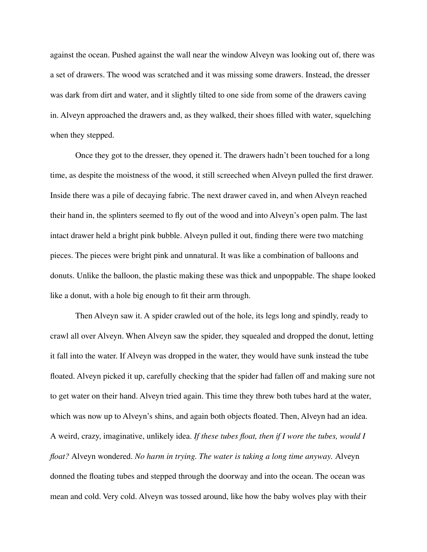against the ocean. Pushed against the wall near the window Alveyn was looking out of, there was a set of drawers. The wood was scratched and it was missing some drawers. Instead, the dresser was dark from dirt and water, and it slightly tilted to one side from some of the drawers caving in. Alveyn approached the drawers and, as they walked, their shoes filled with water, squelching when they stepped.

Once they got to the dresser, they opened it. The drawers hadn't been touched for a long time, as despite the moistness of the wood, it still screeched when Alveyn pulled the first drawer. Inside there was a pile of decaying fabric. The next drawer caved in, and when Alveyn reached their hand in, the splinters seemed to fly out of the wood and into Alveyn's open palm. The last intact drawer held a bright pink bubble. Alveyn pulled it out, finding there were two matching pieces. The pieces were bright pink and unnatural. It was like a combination of balloons and donuts. Unlike the balloon, the plastic making these was thick and unpoppable. The shape looked like a donut, with a hole big enough to fit their arm through.

Then Alveyn saw it. A spider crawled out of the hole, its legs long and spindly, ready to crawl all over Alveyn. When Alveyn saw the spider, they squealed and dropped the donut, letting it fall into the water. If Alveyn was dropped in the water, they would have sunk instead the tube floated. Alveyn picked it up, carefully checking that the spider had fallen off and making sure not to get water on their hand. Alveyn tried again. This time they threw both tubes hard at the water, which was now up to Alveyn's shins, and again both objects floated. Then, Alveyn had an idea. A weird, crazy, imaginative, unlikely idea. *If these tubes float, then if I wore the tubes, would I float?* Alveyn wondered. *No harm in trying. The water is taking a long time anyway.* Alveyn donned the floating tubes and stepped through the doorway and into the ocean. The ocean was mean and cold. Very cold. Alveyn was tossed around, like how the baby wolves play with their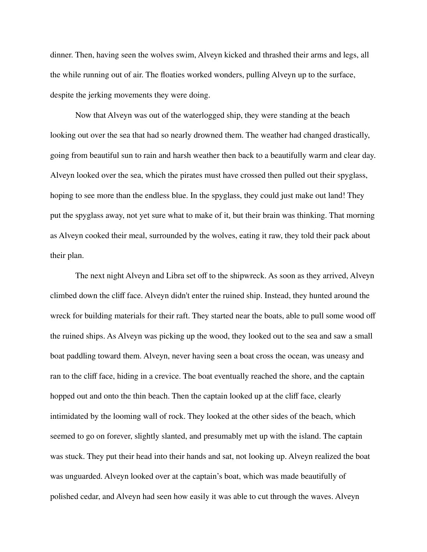dinner. Then, having seen the wolves swim, Alveyn kicked and thrashed their arms and legs, all the while running out of air. The floaties worked wonders, pulling Alveyn up to the surface, despite the jerking movements they were doing.

Now that Alveyn was out of the waterlogged ship, they were standing at the beach looking out over the sea that had so nearly drowned them. The weather had changed drastically, going from beautiful sun to rain and harsh weather then back to a beautifully warm and clear day. Alveyn looked over the sea, which the pirates must have crossed then pulled out their spyglass, hoping to see more than the endless blue. In the spyglass, they could just make out land! They put the spyglass away, not yet sure what to make of it, but their brain was thinking. That morning as Alveyn cooked their meal, surrounded by the wolves, eating it raw, they told their pack about their plan.

The next night Alveyn and Libra set off to the shipwreck. As soon as they arrived, Alveyn climbed down the cliff face. Alveyn didn't enter the ruined ship. Instead, they hunted around the wreck for building materials for their raft. They started near the boats, able to pull some wood off the ruined ships. As Alveyn was picking up the wood, they looked out to the sea and saw a small boat paddling toward them. Alveyn, never having seen a boat cross the ocean, was uneasy and ran to the cliff face, hiding in a crevice. The boat eventually reached the shore, and the captain hopped out and onto the thin beach. Then the captain looked up at the cliff face, clearly intimidated by the looming wall of rock. They looked at the other sides of the beach, which seemed to go on forever, slightly slanted, and presumably met up with the island. The captain was stuck. They put their head into their hands and sat, not looking up. Alveyn realized the boat was unguarded. Alveyn looked over at the captain's boat, which was made beautifully of polished cedar, and Alveyn had seen how easily it was able to cut through the waves. Alveyn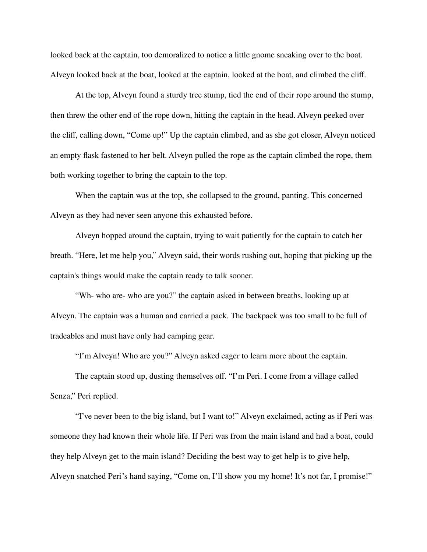looked back at the captain, too demoralized to notice a little gnome sneaking over to the boat. Alveyn looked back at the boat, looked at the captain, looked at the boat, and climbed the cliff.

At the top, Alveyn found a sturdy tree stump, tied the end of their rope around the stump, then threw the other end of the rope down, hitting the captain in the head. Alveyn peeked over the cliff, calling down, "Come up!" Up the captain climbed, and as she got closer, Alveyn noticed an empty flask fastened to her belt. Alveyn pulled the rope as the captain climbed the rope, them both working together to bring the captain to the top.

When the captain was at the top, she collapsed to the ground, panting. This concerned Alveyn as they had never seen anyone this exhausted before.

Alveyn hopped around the captain, trying to wait patiently for the captain to catch her breath. "Here, let me help you," Alveyn said, their words rushing out, hoping that picking up the captain's things would make the captain ready to talk sooner.

"Wh- who are- who are you?" the captain asked in between breaths, looking up at Alveyn. The captain was a human and carried a pack. The backpack was too small to be full of tradeables and must have only had camping gear.

"I'm Alveyn! Who are you?" Alveyn asked eager to learn more about the captain.

The captain stood up, dusting themselves off. "I'm Peri. I come from a village called Senza," Peri replied.

"I've never been to the big island, but I want to!" Alveyn exclaimed, acting as if Peri was someone they had known their whole life. If Peri was from the main island and had a boat, could they help Alveyn get to the main island? Deciding the best way to get help is to give help, Alveyn snatched Peri's hand saying, "Come on, I'll show you my home! It's not far, I promise!"